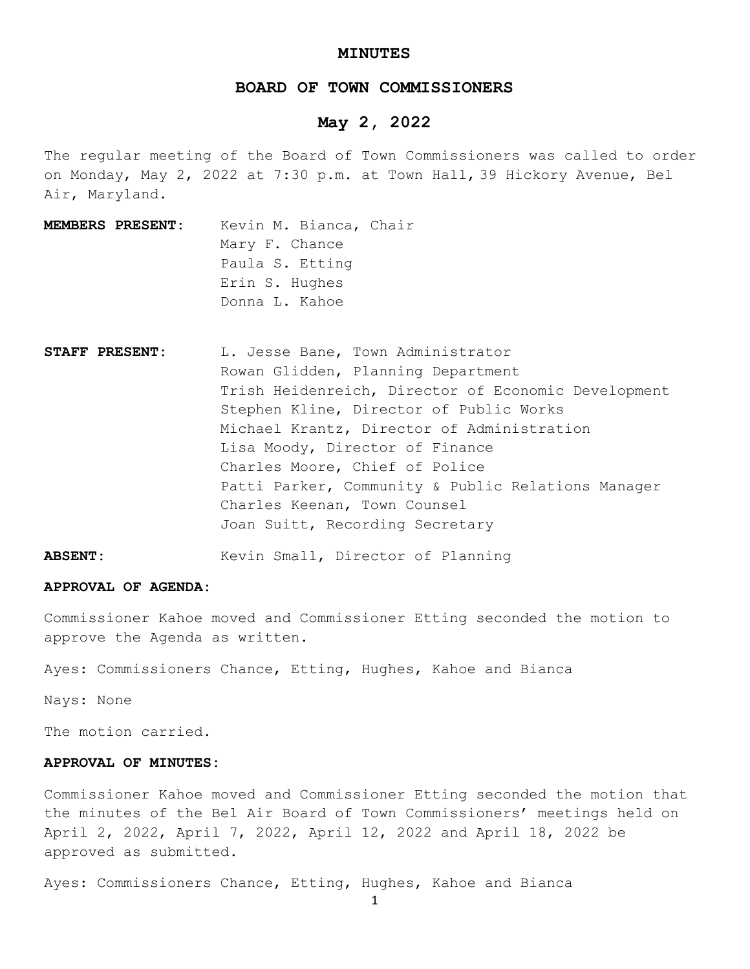### **MINUTES**

## **BOARD OF TOWN COMMISSIONERS**

## **May 2, 2022**

The regular meeting of the Board of Town Commissioners was called to order on Monday, May 2, 2022 at 7:30 p.m. at Town Hall, 39 Hickory Avenue, Bel Air, Maryland.

- **MEMBERS PRESENT:** Kevin M. Bianca, Chair Mary F. Chance Paula S. Etting Erin S. Hughes Donna L. Kahoe
- STAFF PRESENT: L. Jesse Bane, Town Administrator Rowan Glidden, Planning Department Trish Heidenreich, Director of Economic Development Stephen Kline, Director of Public Works Michael Krantz, Director of Administration Lisa Moody, Director of Finance Charles Moore, Chief of Police Patti Parker, Community & Public Relations Manager Charles Keenan, Town Counsel Joan Suitt, Recording Secretary
- **ABSENT:** Kevin Small, Director of Planning

#### **APPROVAL OF AGENDA:**

Commissioner Kahoe moved and Commissioner Etting seconded the motion to approve the Agenda as written.

Ayes: Commissioners Chance, Etting, Hughes, Kahoe and Bianca

Nays: None

The motion carried.

### **APPROVAL OF MINUTES:**

Commissioner Kahoe moved and Commissioner Etting seconded the motion that the minutes of the Bel Air Board of Town Commissioners' meetings held on April 2, 2022, April 7, 2022, April 12, 2022 and April 18, 2022 be approved as submitted.

Ayes: Commissioners Chance, Etting, Hughes, Kahoe and Bianca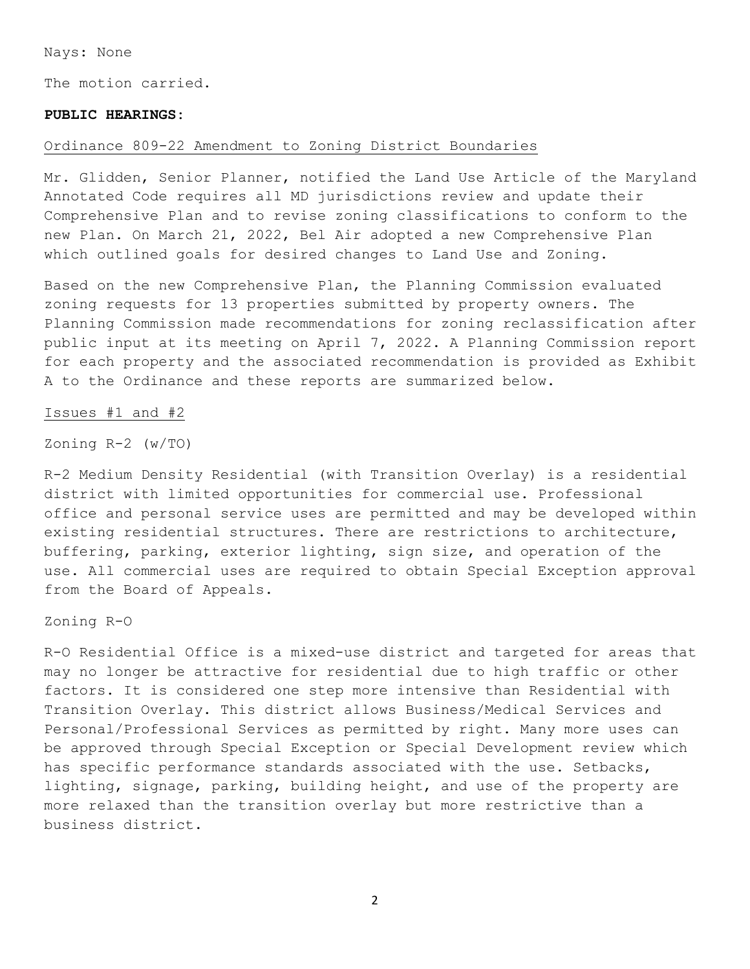Nays: None

The motion carried.

## **PUBLIC HEARINGS:**

### Ordinance 809-22 Amendment to Zoning District Boundaries

Mr. Glidden, Senior Planner, notified the Land Use Article of the Maryland Annotated Code requires all MD jurisdictions review and update their Comprehensive Plan and to revise zoning classifications to conform to the new Plan. On March 21, 2022, Bel Air adopted a new Comprehensive Plan which outlined goals for desired changes to Land Use and Zoning.

Based on the new Comprehensive Plan, the Planning Commission evaluated zoning requests for 13 properties submitted by property owners. The Planning Commission made recommendations for zoning reclassification after public input at its meeting on April 7, 2022. A Planning Commission report for each property and the associated recommendation is provided as Exhibit A to the Ordinance and these reports are summarized below.

### Issues #1 and #2

Zoning R-2 (w/TO)

R-2 Medium Density Residential (with Transition Overlay) is a residential district with limited opportunities for commercial use. Professional office and personal service uses are permitted and may be developed within existing residential structures. There are restrictions to architecture, buffering, parking, exterior lighting, sign size, and operation of the use. All commercial uses are required to obtain Special Exception approval from the Board of Appeals.

Zoning R-O

R-O Residential Office is a mixed-use district and targeted for areas that may no longer be attractive for residential due to high traffic or other factors. It is considered one step more intensive than Residential with Transition Overlay. This district allows Business/Medical Services and Personal/Professional Services as permitted by right. Many more uses can be approved through Special Exception or Special Development review which has specific performance standards associated with the use. Setbacks, lighting, signage, parking, building height, and use of the property are more relaxed than the transition overlay but more restrictive than a business district.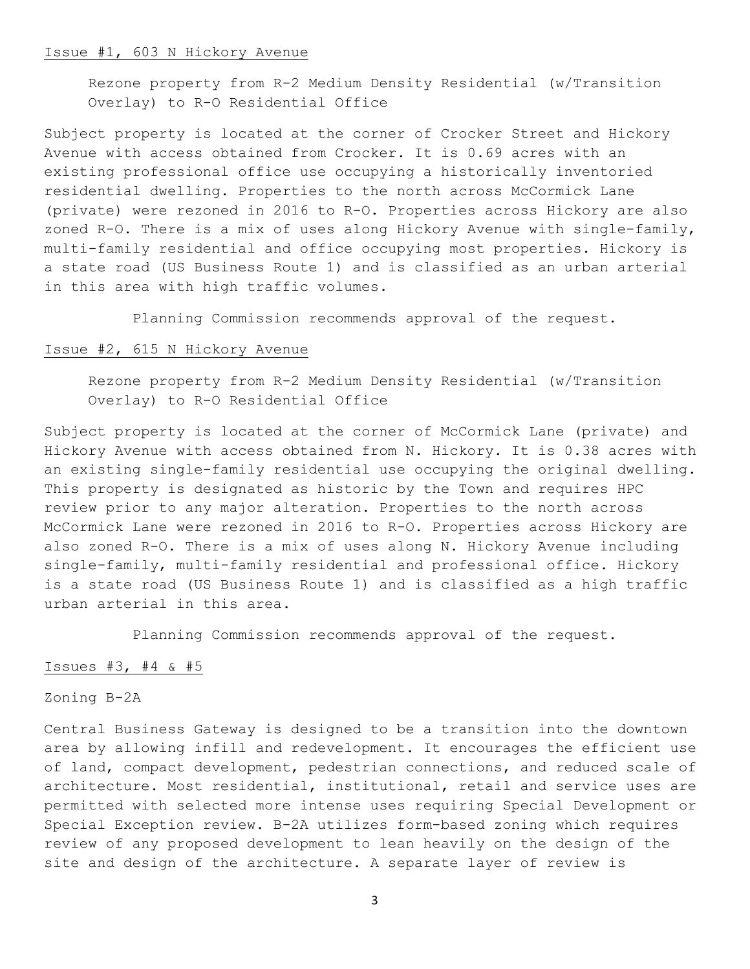#### Issue #1, 603 N Hickory Avenue

Rezone property from R-2 Medium Density Residential (w/Transition Overlay) to R-O Residential Office

Subject property is located at the corner of Crocker Street and Hickory Avenue with access obtained from Crocker. It is 0.69 acres with an existing professional office use occupying a historically inventoried residential dwelling. Properties to the north across McCormick Lane (private) were rezoned in 2016 to R-O. Properties across Hickory are also zoned R-O. There is a mix of uses along Hickory Avenue with single-family, multi-family residential and office occupying most properties. Hickory is a state road (US Business Route 1) and is classified as an urban arterial in this area with high traffic volumes.

Planning Commission recommends approval of the request.

## Issue #2, 615 N Hickory Avenue

Rezone property from R-2 Medium Density Residential (w/Transition Overlay) to R-O Residential Office

Subject property is located at the corner of McCormick Lane (private) and Hickory Avenue with access obtained from N. Hickory. It is 0.38 acres with an existing single-family residential use occupying the original dwelling. This property is designated as historic by the Town and requires HPC review prior to any major alteration. Properties to the north across McCormick Lane were rezoned in 2016 to R-O. Properties across Hickory are also zoned R-O. There is a mix of uses along N. Hickory Avenue including single-family, multi-family residential and professional office. Hickory is a state road (US Business Route 1) and is classified as a high traffic urban arterial in this area.

Planning Commission recommends approval of the request.

## Issues #3, #4 & #5

## Zoning B-2A

Central Business Gateway is designed to be a transition into the downtown area by allowing infill and redevelopment. It encourages the efficient use of land, compact development, pedestrian connections, and reduced scale of architecture. Most residential, institutional, retail and service uses are permitted with selected more intense uses requiring Special Development or Special Exception review. B-2A utilizes form-based zoning which requires review of any proposed development to lean heavily on the design of the site and design of the architecture. A separate layer of review is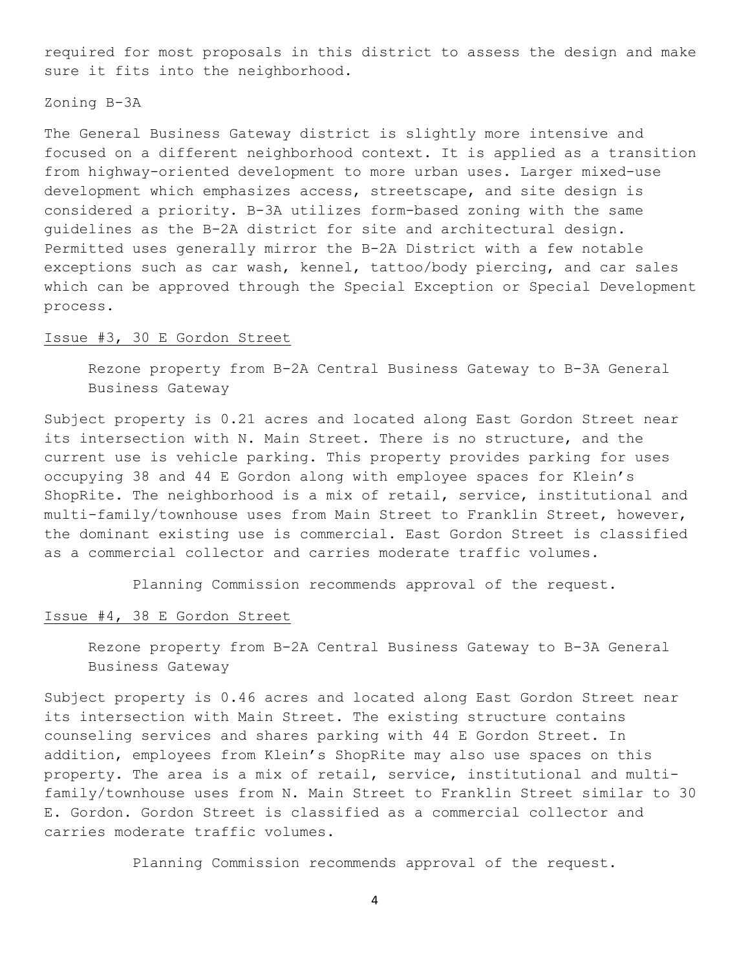required for most proposals in this district to assess the design and make sure it fits into the neighborhood.

Zoning B-3A

The General Business Gateway district is slightly more intensive and focused on a different neighborhood context. It is applied as a transition from highway-oriented development to more urban uses. Larger mixed-use development which emphasizes access, streetscape, and site design is considered a priority. B-3A utilizes form-based zoning with the same guidelines as the B-2A district for site and architectural design. Permitted uses generally mirror the B-2A District with a few notable exceptions such as car wash, kennel, tattoo/body piercing, and car sales which can be approved through the Special Exception or Special Development process.

## Issue #3, 30 E Gordon Street

Rezone property from B-2A Central Business Gateway to B-3A General Business Gateway

Subject property is 0.21 acres and located along East Gordon Street near its intersection with N. Main Street. There is no structure, and the current use is vehicle parking. This property provides parking for uses occupying 38 and 44 E Gordon along with employee spaces for Klein's ShopRite. The neighborhood is a mix of retail, service, institutional and multi-family/townhouse uses from Main Street to Franklin Street, however, the dominant existing use is commercial. East Gordon Street is classified as a commercial collector and carries moderate traffic volumes.

Planning Commission recommends approval of the request.

### Issue #4, 38 E Gordon Street

Rezone property from B-2A Central Business Gateway to B-3A General Business Gateway

Subject property is 0.46 acres and located along East Gordon Street near its intersection with Main Street. The existing structure contains counseling services and shares parking with 44 E Gordon Street. In addition, employees from Klein's ShopRite may also use spaces on this property. The area is a mix of retail, service, institutional and multifamily/townhouse uses from N. Main Street to Franklin Street similar to 30 E. Gordon. Gordon Street is classified as a commercial collector and carries moderate traffic volumes.

Planning Commission recommends approval of the request.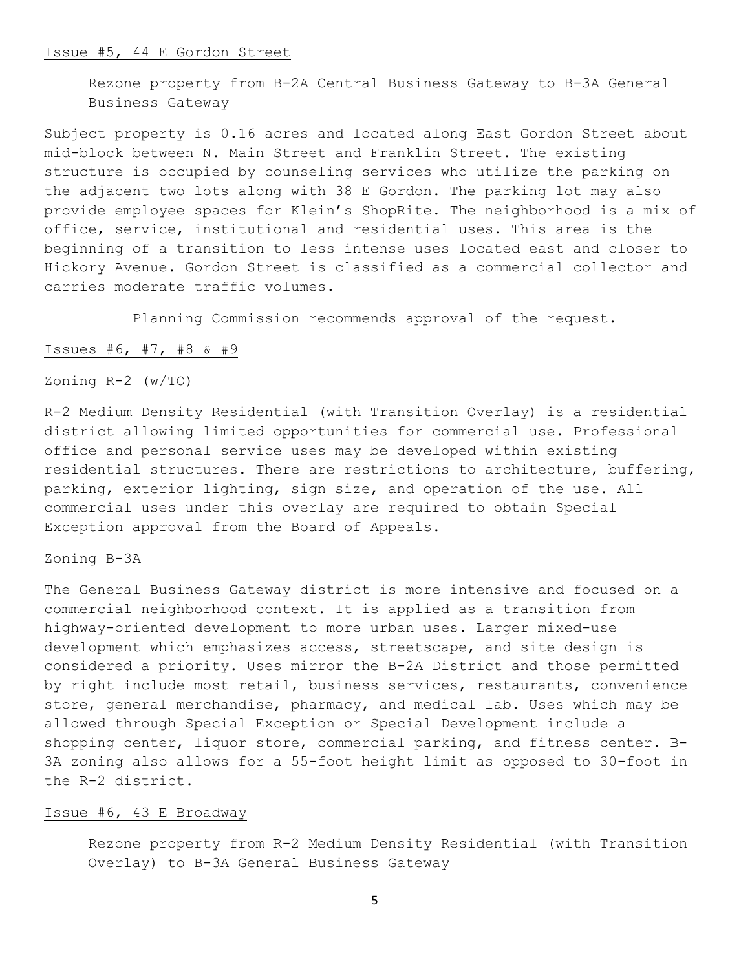#### Issue #5, 44 E Gordon Street

Rezone property from B-2A Central Business Gateway to B-3A General Business Gateway

Subject property is 0.16 acres and located along East Gordon Street about mid-block between N. Main Street and Franklin Street. The existing structure is occupied by counseling services who utilize the parking on the adjacent two lots along with 38 E Gordon. The parking lot may also provide employee spaces for Klein's ShopRite. The neighborhood is a mix of office, service, institutional and residential uses. This area is the beginning of a transition to less intense uses located east and closer to Hickory Avenue. Gordon Street is classified as a commercial collector and carries moderate traffic volumes.

Planning Commission recommends approval of the request.

## Issues #6, #7, #8 & #9

Zoning R-2 (w/TO)

R-2 Medium Density Residential (with Transition Overlay) is a residential district allowing limited opportunities for commercial use. Professional office and personal service uses may be developed within existing residential structures. There are restrictions to architecture, buffering, parking, exterior lighting, sign size, and operation of the use. All commercial uses under this overlay are required to obtain Special Exception approval from the Board of Appeals.

Zoning B-3A

The General Business Gateway district is more intensive and focused on a commercial neighborhood context. It is applied as a transition from highway-oriented development to more urban uses. Larger mixed-use development which emphasizes access, streetscape, and site design is considered a priority. Uses mirror the B-2A District and those permitted by right include most retail, business services, restaurants, convenience store, general merchandise, pharmacy, and medical lab. Uses which may be allowed through Special Exception or Special Development include a shopping center, liquor store, commercial parking, and fitness center. B-3A zoning also allows for a 55-foot height limit as opposed to 30-foot in the R-2 district.

### Issue #6, 43 E Broadway

Rezone property from R-2 Medium Density Residential (with Transition Overlay) to B-3A General Business Gateway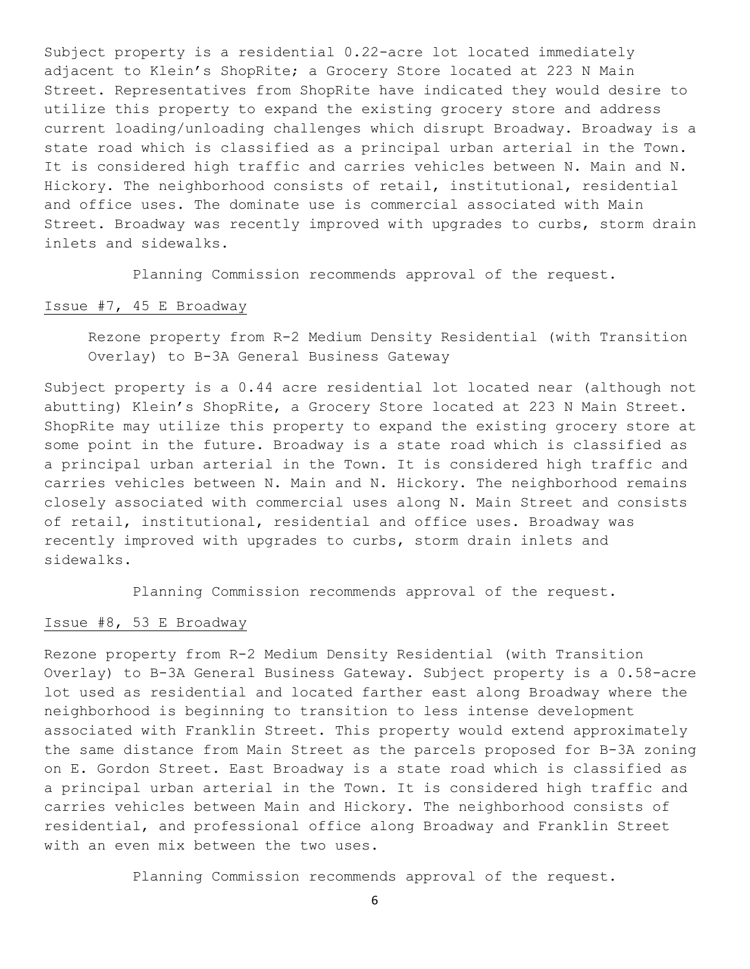Subject property is a residential 0.22-acre lot located immediately adjacent to Klein's ShopRite; a Grocery Store located at 223 N Main Street. Representatives from ShopRite have indicated they would desire to utilize this property to expand the existing grocery store and address current loading/unloading challenges which disrupt Broadway. Broadway is a state road which is classified as a principal urban arterial in the Town. It is considered high traffic and carries vehicles between N. Main and N. Hickory. The neighborhood consists of retail, institutional, residential and office uses. The dominate use is commercial associated with Main Street. Broadway was recently improved with upgrades to curbs, storm drain inlets and sidewalks.

Planning Commission recommends approval of the request.

### Issue #7, 45 E Broadway

Rezone property from R-2 Medium Density Residential (with Transition Overlay) to B-3A General Business Gateway

Subject property is a 0.44 acre residential lot located near (although not abutting) Klein's ShopRite, a Grocery Store located at 223 N Main Street. ShopRite may utilize this property to expand the existing grocery store at some point in the future. Broadway is a state road which is classified as a principal urban arterial in the Town. It is considered high traffic and carries vehicles between N. Main and N. Hickory. The neighborhood remains closely associated with commercial uses along N. Main Street and consists of retail, institutional, residential and office uses. Broadway was recently improved with upgrades to curbs, storm drain inlets and sidewalks.

Planning Commission recommends approval of the request.

### Issue #8, 53 E Broadway

Rezone property from R-2 Medium Density Residential (with Transition Overlay) to B-3A General Business Gateway. Subject property is a 0.58-acre lot used as residential and located farther east along Broadway where the neighborhood is beginning to transition to less intense development associated with Franklin Street. This property would extend approximately the same distance from Main Street as the parcels proposed for B-3A zoning on E. Gordon Street. East Broadway is a state road which is classified as a principal urban arterial in the Town. It is considered high traffic and carries vehicles between Main and Hickory. The neighborhood consists of residential, and professional office along Broadway and Franklin Street with an even mix between the two uses.

Planning Commission recommends approval of the request.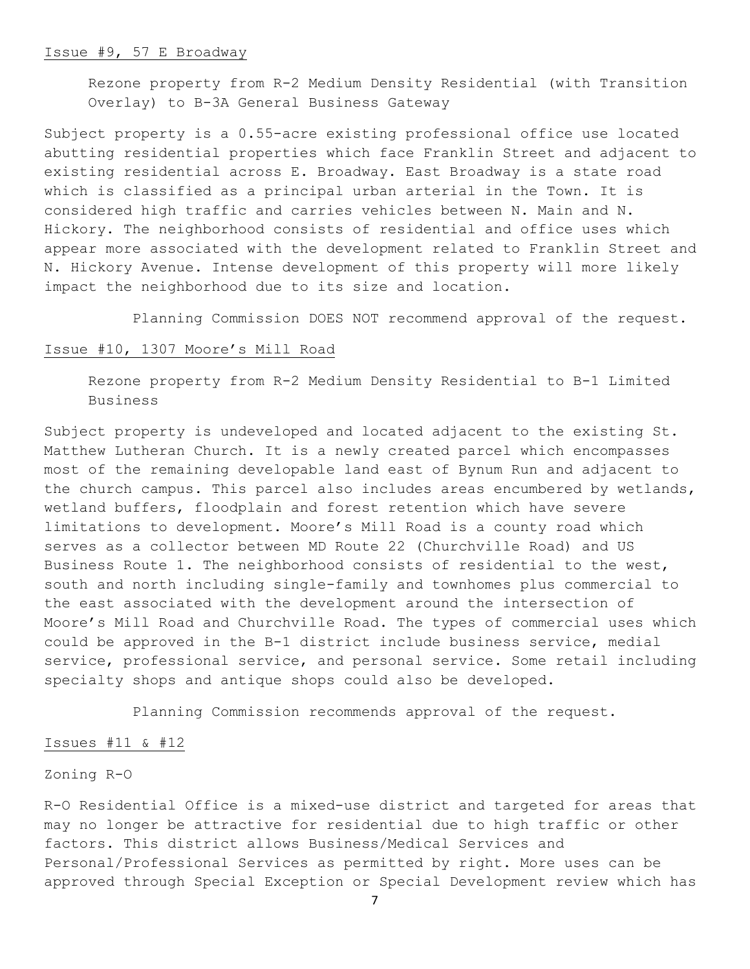#### Issue #9, 57 E Broadway

Rezone property from R-2 Medium Density Residential (with Transition Overlay) to B-3A General Business Gateway

Subject property is a 0.55-acre existing professional office use located abutting residential properties which face Franklin Street and adjacent to existing residential across E. Broadway. East Broadway is a state road which is classified as a principal urban arterial in the Town. It is considered high traffic and carries vehicles between N. Main and N. Hickory. The neighborhood consists of residential and office uses which appear more associated with the development related to Franklin Street and N. Hickory Avenue. Intense development of this property will more likely impact the neighborhood due to its size and location.

Planning Commission DOES NOT recommend approval of the request.

## Issue #10, 1307 Moore's Mill Road

Rezone property from R-2 Medium Density Residential to B-1 Limited Business

Subject property is undeveloped and located adjacent to the existing St. Matthew Lutheran Church. It is a newly created parcel which encompasses most of the remaining developable land east of Bynum Run and adjacent to the church campus. This parcel also includes areas encumbered by wetlands, wetland buffers, floodplain and forest retention which have severe limitations to development. Moore's Mill Road is a county road which serves as a collector between MD Route 22 (Churchville Road) and US Business Route 1. The neighborhood consists of residential to the west, south and north including single-family and townhomes plus commercial to the east associated with the development around the intersection of Moore's Mill Road and Churchville Road. The types of commercial uses which could be approved in the B-1 district include business service, medial service, professional service, and personal service. Some retail including specialty shops and antique shops could also be developed.

Planning Commission recommends approval of the request.

#### Issues #11 & #12

## Zoning R-O

R-O Residential Office is a mixed-use district and targeted for areas that may no longer be attractive for residential due to high traffic or other factors. This district allows Business/Medical Services and Personal/Professional Services as permitted by right. More uses can be approved through Special Exception or Special Development review which has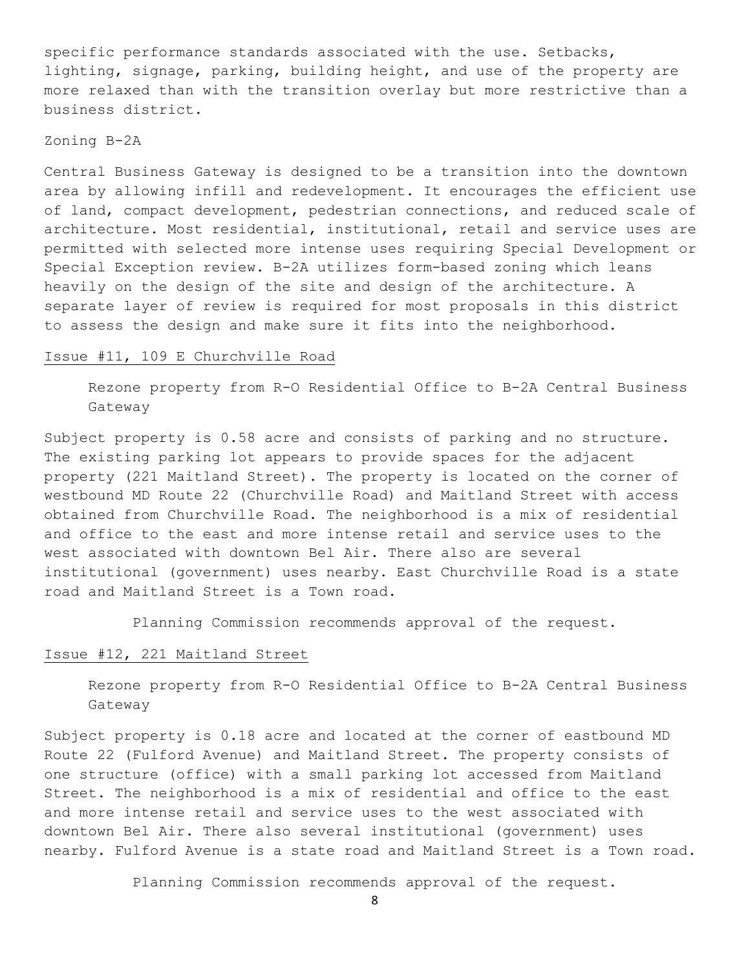specific performance standards associated with the use. Setbacks, lighting, signage, parking, building height, and use of the property are more relaxed than with the transition overlay but more restrictive than a business district.

## Zoning B-2A

Central Business Gateway is designed to be a transition into the downtown area by allowing infill and redevelopment. It encourages the efficient use of land, compact development, pedestrian connections, and reduced scale of architecture. Most residential, institutional, retail and service uses are permitted with selected more intense uses requiring Special Development or Special Exception review. B-2A utilizes form-based zoning which leans heavily on the design of the site and design of the architecture. A separate layer of review is required for most proposals in this district to assess the design and make sure it fits into the neighborhood.

## Issue #11, 109 E Churchville Road

Rezone property from R-O Residential Office to B-2A Central Business Gateway

Subject property is 0.58 acre and consists of parking and no structure. The existing parking lot appears to provide spaces for the adjacent property (221 Maitland Street). The property is located on the corner of westbound MD Route 22 (Churchville Road) and Maitland Street with access obtained from Churchville Road. The neighborhood is a mix of residential and office to the east and more intense retail and service uses to the west associated with downtown Bel Air. There also are several institutional (government) uses nearby. East Churchville Road is a state road and Maitland Street is a Town road.

Planning Commission recommends approval of the request.

## Issue #12, 221 Maitland Street

Rezone property from R-O Residential Office to B-2A Central Business Gateway

Subject property is 0.18 acre and located at the corner of eastbound MD Route 22 (Fulford Avenue) and Maitland Street. The property consists of one structure (office) with a small parking lot accessed from Maitland Street. The neighborhood is a mix of residential and office to the east and more intense retail and service uses to the west associated with downtown Bel Air. There also several institutional (government) uses nearby. Fulford Avenue is a state road and Maitland Street is a Town road.

Planning Commission recommends approval of the request.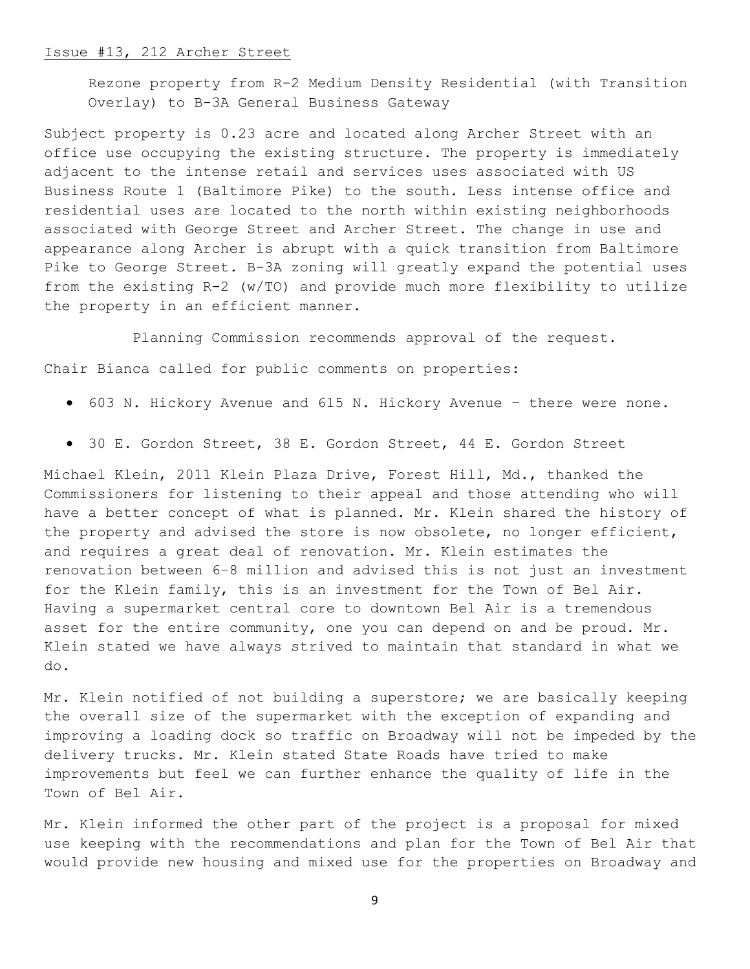#### Issue #13, 212 Archer Street

Rezone property from R-2 Medium Density Residential (with Transition Overlay) to B-3A General Business Gateway

Subject property is 0.23 acre and located along Archer Street with an office use occupying the existing structure. The property is immediately adjacent to the intense retail and services uses associated with US Business Route 1 (Baltimore Pike) to the south. Less intense office and residential uses are located to the north within existing neighborhoods associated with George Street and Archer Street. The change in use and appearance along Archer is abrupt with a quick transition from Baltimore Pike to George Street. B-3A zoning will greatly expand the potential uses from the existing R-2 (w/TO) and provide much more flexibility to utilize the property in an efficient manner.

Planning Commission recommends approval of the request. Chair Bianca called for public comments on properties:

- 603 N. Hickory Avenue and 615 N. Hickory Avenue there were none.
- 30 E. Gordon Street, 38 E. Gordon Street, 44 E. Gordon Street

Michael Klein, 2011 Klein Plaza Drive, Forest Hill, Md., thanked the Commissioners for listening to their appeal and those attending who will have a better concept of what is planned. Mr. Klein shared the history of the property and advised the store is now obsolete, no longer efficient, and requires a great deal of renovation. Mr. Klein estimates the renovation between 6–8 million and advised this is not just an investment for the Klein family, this is an investment for the Town of Bel Air. Having a supermarket central core to downtown Bel Air is a tremendous asset for the entire community, one you can depend on and be proud. Mr. Klein stated we have always strived to maintain that standard in what we do.

Mr. Klein notified of not building a superstore; we are basically keeping the overall size of the supermarket with the exception of expanding and improving a loading dock so traffic on Broadway will not be impeded by the delivery trucks. Mr. Klein stated State Roads have tried to make improvements but feel we can further enhance the quality of life in the Town of Bel Air.

Mr. Klein informed the other part of the project is a proposal for mixed use keeping with the recommendations and plan for the Town of Bel Air that would provide new housing and mixed use for the properties on Broadway and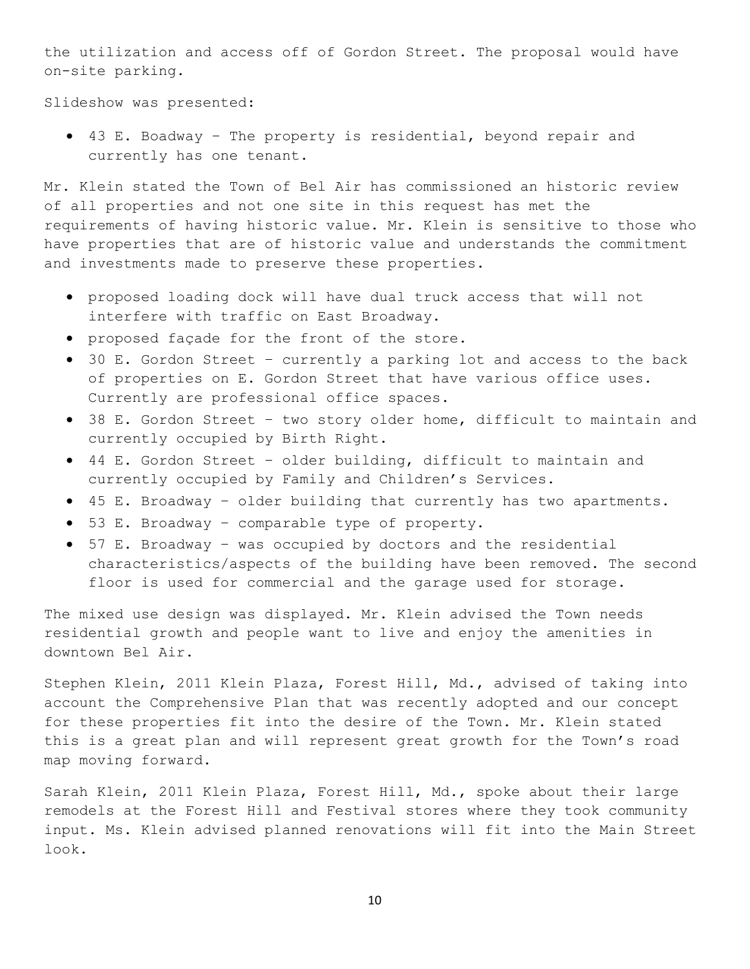the utilization and access off of Gordon Street. The proposal would have on-site parking.

Slideshow was presented:

• 43 E. Boadway – The property is residential, beyond repair and currently has one tenant.

Mr. Klein stated the Town of Bel Air has commissioned an historic review of all properties and not one site in this request has met the requirements of having historic value. Mr. Klein is sensitive to those who have properties that are of historic value and understands the commitment and investments made to preserve these properties.

- proposed loading dock will have dual truck access that will not interfere with traffic on East Broadway.
- proposed façade for the front of the store.
- 30 E. Gordon Street currently a parking lot and access to the back of properties on E. Gordon Street that have various office uses. Currently are professional office spaces.
- 38 E. Gordon Street two story older home, difficult to maintain and currently occupied by Birth Right.
- 44 E. Gordon Street older building, difficult to maintain and currently occupied by Family and Children's Services.
- 45 E. Broadway older building that currently has two apartments.
- 53 E. Broadway comparable type of property.
- 57 E. Broadway was occupied by doctors and the residential characteristics/aspects of the building have been removed. The second floor is used for commercial and the garage used for storage.

The mixed use design was displayed. Mr. Klein advised the Town needs residential growth and people want to live and enjoy the amenities in downtown Bel Air.

Stephen Klein, 2011 Klein Plaza, Forest Hill, Md., advised of taking into account the Comprehensive Plan that was recently adopted and our concept for these properties fit into the desire of the Town. Mr. Klein stated this is a great plan and will represent great growth for the Town's road map moving forward.

Sarah Klein, 2011 Klein Plaza, Forest Hill, Md., spoke about their large remodels at the Forest Hill and Festival stores where they took community input. Ms. Klein advised planned renovations will fit into the Main Street look.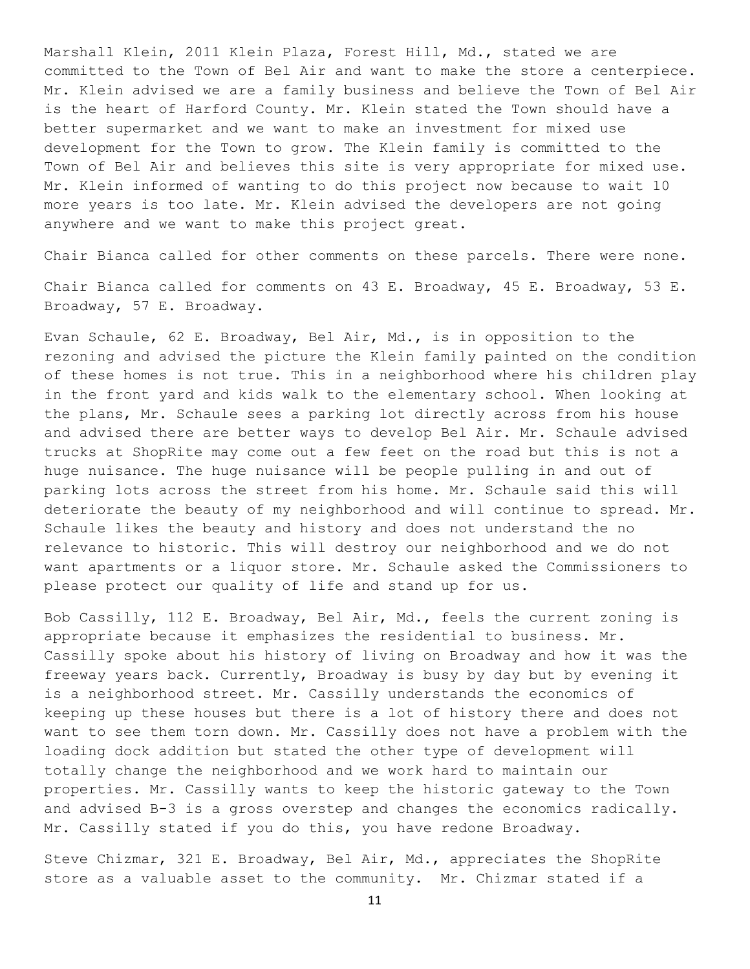Marshall Klein, 2011 Klein Plaza, Forest Hill, Md., stated we are committed to the Town of Bel Air and want to make the store a centerpiece. Mr. Klein advised we are a family business and believe the Town of Bel Air is the heart of Harford County. Mr. Klein stated the Town should have a better supermarket and we want to make an investment for mixed use development for the Town to grow. The Klein family is committed to the Town of Bel Air and believes this site is very appropriate for mixed use. Mr. Klein informed of wanting to do this project now because to wait 10 more years is too late. Mr. Klein advised the developers are not going anywhere and we want to make this project great.

Chair Bianca called for other comments on these parcels. There were none.

Chair Bianca called for comments on 43 E. Broadway, 45 E. Broadway, 53 E. Broadway, 57 E. Broadway.

Evan Schaule, 62 E. Broadway, Bel Air, Md., is in opposition to the rezoning and advised the picture the Klein family painted on the condition of these homes is not true. This in a neighborhood where his children play in the front yard and kids walk to the elementary school. When looking at the plans, Mr. Schaule sees a parking lot directly across from his house and advised there are better ways to develop Bel Air. Mr. Schaule advised trucks at ShopRite may come out a few feet on the road but this is not a huge nuisance. The huge nuisance will be people pulling in and out of parking lots across the street from his home. Mr. Schaule said this will deteriorate the beauty of my neighborhood and will continue to spread. Mr. Schaule likes the beauty and history and does not understand the no relevance to historic. This will destroy our neighborhood and we do not want apartments or a liquor store. Mr. Schaule asked the Commissioners to please protect our quality of life and stand up for us.

Bob Cassilly, 112 E. Broadway, Bel Air, Md., feels the current zoning is appropriate because it emphasizes the residential to business. Mr. Cassilly spoke about his history of living on Broadway and how it was the freeway years back. Currently, Broadway is busy by day but by evening it is a neighborhood street. Mr. Cassilly understands the economics of keeping up these houses but there is a lot of history there and does not want to see them torn down. Mr. Cassilly does not have a problem with the loading dock addition but stated the other type of development will totally change the neighborhood and we work hard to maintain our properties. Mr. Cassilly wants to keep the historic gateway to the Town and advised B-3 is a gross overstep and changes the economics radically. Mr. Cassilly stated if you do this, you have redone Broadway.

Steve Chizmar, 321 E. Broadway, Bel Air, Md., appreciates the ShopRite store as a valuable asset to the community. Mr. Chizmar stated if a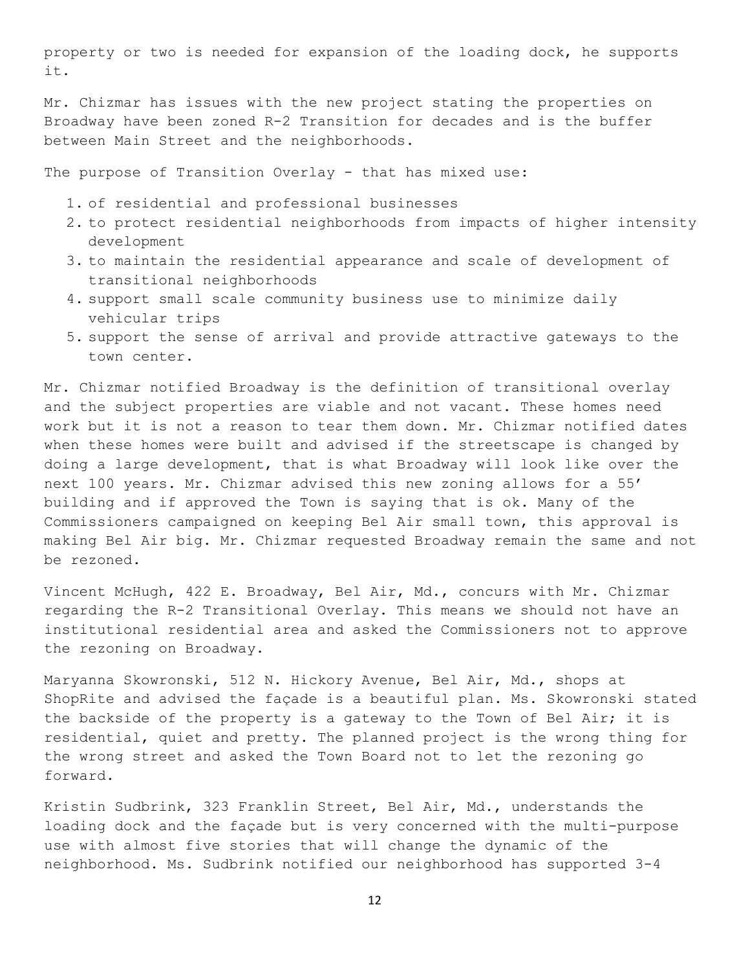property or two is needed for expansion of the loading dock, he supports it.

Mr. Chizmar has issues with the new project stating the properties on Broadway have been zoned R-2 Transition for decades and is the buffer between Main Street and the neighborhoods.

The purpose of Transition Overlay - that has mixed use:

- 1. of residential and professional businesses
- 2. to protect residential neighborhoods from impacts of higher intensity development
- 3. to maintain the residential appearance and scale of development of transitional neighborhoods
- 4. support small scale community business use to minimize daily vehicular trips
- 5. support the sense of arrival and provide attractive gateways to the town center.

Mr. Chizmar notified Broadway is the definition of transitional overlay and the subject properties are viable and not vacant. These homes need work but it is not a reason to tear them down. Mr. Chizmar notified dates when these homes were built and advised if the streetscape is changed by doing a large development, that is what Broadway will look like over the next 100 years. Mr. Chizmar advised this new zoning allows for a 55' building and if approved the Town is saying that is ok. Many of the Commissioners campaigned on keeping Bel Air small town, this approval is making Bel Air big. Mr. Chizmar requested Broadway remain the same and not be rezoned.

Vincent McHugh, 422 E. Broadway, Bel Air, Md., concurs with Mr. Chizmar regarding the R-2 Transitional Overlay. This means we should not have an institutional residential area and asked the Commissioners not to approve the rezoning on Broadway.

Maryanna Skowronski, 512 N. Hickory Avenue, Bel Air, Md., shops at ShopRite and advised the façade is a beautiful plan. Ms. Skowronski stated the backside of the property is a gateway to the Town of Bel Air; it is residential, quiet and pretty. The planned project is the wrong thing for the wrong street and asked the Town Board not to let the rezoning go forward.

Kristin Sudbrink, 323 Franklin Street, Bel Air, Md., understands the loading dock and the façade but is very concerned with the multi-purpose use with almost five stories that will change the dynamic of the neighborhood. Ms. Sudbrink notified our neighborhood has supported 3-4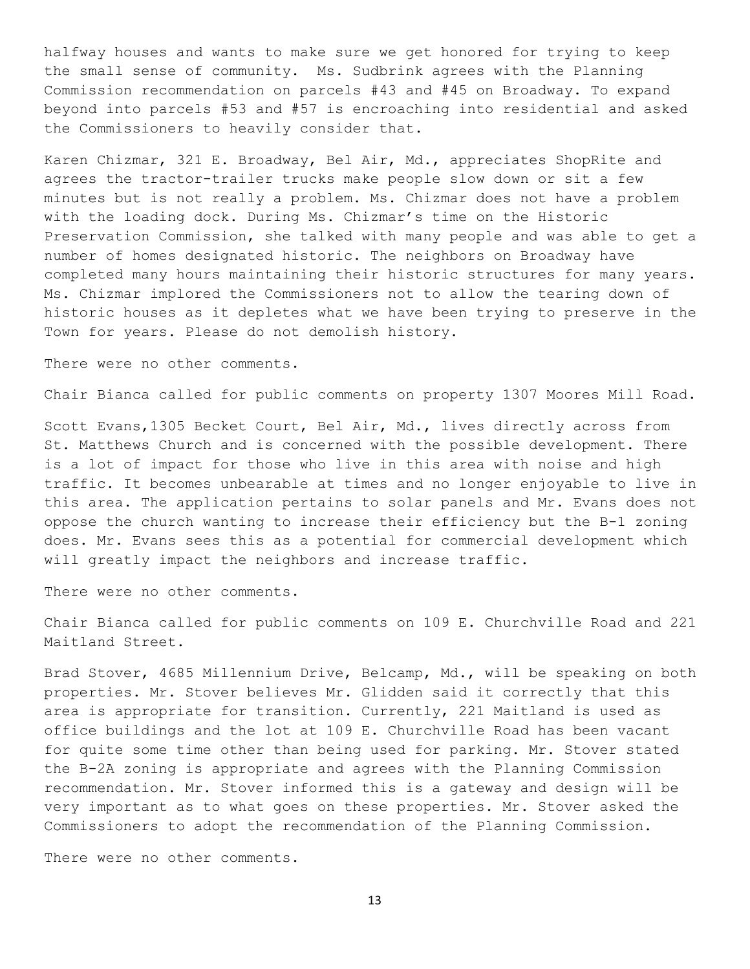halfway houses and wants to make sure we get honored for trying to keep the small sense of community. Ms. Sudbrink agrees with the Planning Commission recommendation on parcels #43 and #45 on Broadway. To expand beyond into parcels #53 and #57 is encroaching into residential and asked the Commissioners to heavily consider that.

Karen Chizmar, 321 E. Broadway, Bel Air, Md., appreciates ShopRite and agrees the tractor-trailer trucks make people slow down or sit a few minutes but is not really a problem. Ms. Chizmar does not have a problem with the loading dock. During Ms. Chizmar's time on the Historic Preservation Commission, she talked with many people and was able to get a number of homes designated historic. The neighbors on Broadway have completed many hours maintaining their historic structures for many years. Ms. Chizmar implored the Commissioners not to allow the tearing down of historic houses as it depletes what we have been trying to preserve in the Town for years. Please do not demolish history.

There were no other comments.

Chair Bianca called for public comments on property 1307 Moores Mill Road.

Scott Evans, 1305 Becket Court, Bel Air, Md., lives directly across from St. Matthews Church and is concerned with the possible development. There is a lot of impact for those who live in this area with noise and high traffic. It becomes unbearable at times and no longer enjoyable to live in this area. The application pertains to solar panels and Mr. Evans does not oppose the church wanting to increase their efficiency but the B-1 zoning does. Mr. Evans sees this as a potential for commercial development which will greatly impact the neighbors and increase traffic.

There were no other comments.

Chair Bianca called for public comments on 109 E. Churchville Road and 221 Maitland Street.

Brad Stover, 4685 Millennium Drive, Belcamp, Md., will be speaking on both properties. Mr. Stover believes Mr. Glidden said it correctly that this area is appropriate for transition. Currently, 221 Maitland is used as office buildings and the lot at 109 E. Churchville Road has been vacant for quite some time other than being used for parking. Mr. Stover stated the B-2A zoning is appropriate and agrees with the Planning Commission recommendation. Mr. Stover informed this is a gateway and design will be very important as to what goes on these properties. Mr. Stover asked the Commissioners to adopt the recommendation of the Planning Commission.

There were no other comments.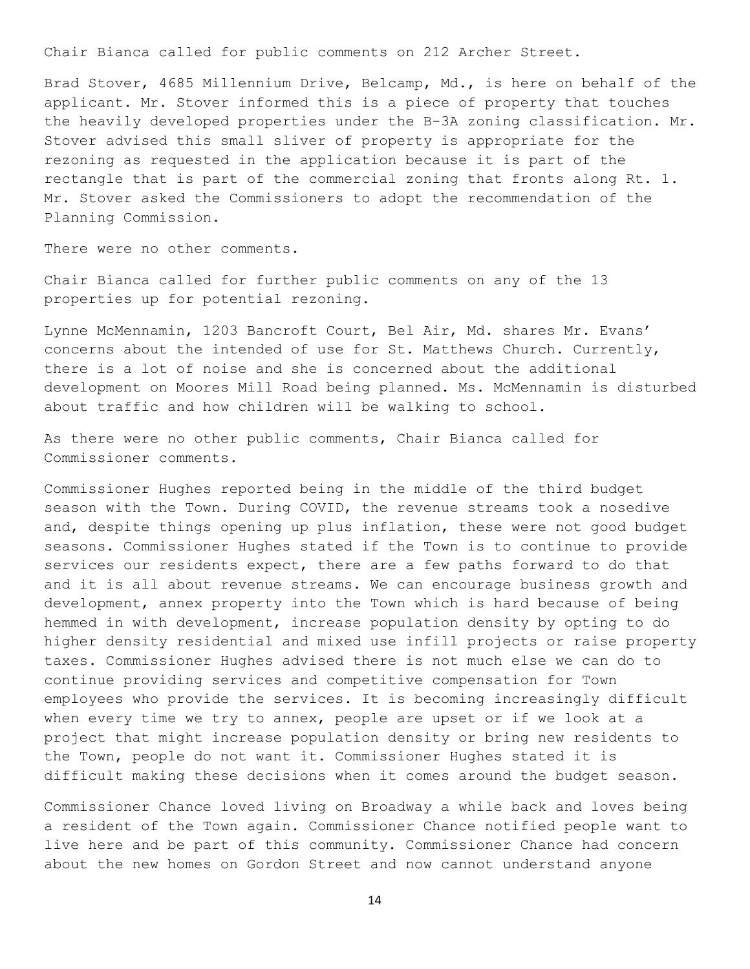Chair Bianca called for public comments on 212 Archer Street.

Brad Stover, 4685 Millennium Drive, Belcamp, Md., is here on behalf of the applicant. Mr. Stover informed this is a piece of property that touches the heavily developed properties under the B-3A zoning classification. Mr. Stover advised this small sliver of property is appropriate for the rezoning as requested in the application because it is part of the rectangle that is part of the commercial zoning that fronts along Rt. 1. Mr. Stover asked the Commissioners to adopt the recommendation of the Planning Commission.

There were no other comments.

Chair Bianca called for further public comments on any of the 13 properties up for potential rezoning.

Lynne McMennamin, 1203 Bancroft Court, Bel Air, Md. shares Mr. Evans' concerns about the intended of use for St. Matthews Church. Currently, there is a lot of noise and she is concerned about the additional development on Moores Mill Road being planned. Ms. McMennamin is disturbed about traffic and how children will be walking to school.

As there were no other public comments, Chair Bianca called for Commissioner comments.

Commissioner Hughes reported being in the middle of the third budget season with the Town. During COVID, the revenue streams took a nosedive and, despite things opening up plus inflation, these were not good budget seasons. Commissioner Hughes stated if the Town is to continue to provide services our residents expect, there are a few paths forward to do that and it is all about revenue streams. We can encourage business growth and development, annex property into the Town which is hard because of being hemmed in with development, increase population density by opting to do higher density residential and mixed use infill projects or raise property taxes. Commissioner Hughes advised there is not much else we can do to continue providing services and competitive compensation for Town employees who provide the services. It is becoming increasingly difficult when every time we try to annex, people are upset or if we look at a project that might increase population density or bring new residents to the Town, people do not want it. Commissioner Hughes stated it is difficult making these decisions when it comes around the budget season.

Commissioner Chance loved living on Broadway a while back and loves being a resident of the Town again. Commissioner Chance notified people want to live here and be part of this community. Commissioner Chance had concern about the new homes on Gordon Street and now cannot understand anyone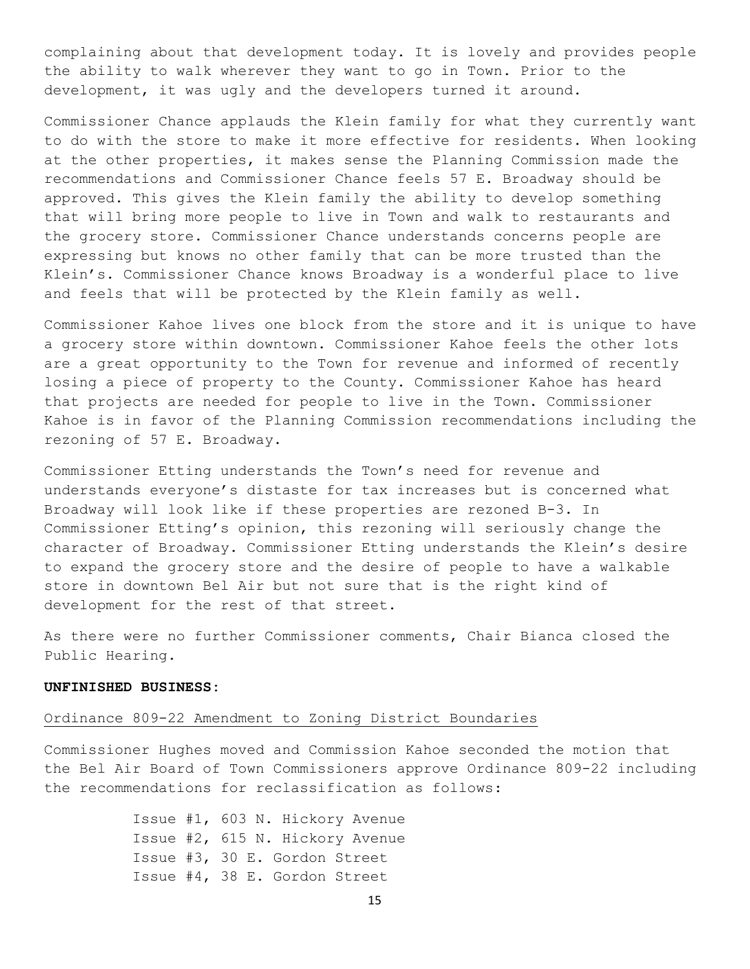complaining about that development today. It is lovely and provides people the ability to walk wherever they want to go in Town. Prior to the development, it was ugly and the developers turned it around.

Commissioner Chance applauds the Klein family for what they currently want to do with the store to make it more effective for residents. When looking at the other properties, it makes sense the Planning Commission made the recommendations and Commissioner Chance feels 57 E. Broadway should be approved. This gives the Klein family the ability to develop something that will bring more people to live in Town and walk to restaurants and the grocery store. Commissioner Chance understands concerns people are expressing but knows no other family that can be more trusted than the Klein's. Commissioner Chance knows Broadway is a wonderful place to live and feels that will be protected by the Klein family as well.

Commissioner Kahoe lives one block from the store and it is unique to have a grocery store within downtown. Commissioner Kahoe feels the other lots are a great opportunity to the Town for revenue and informed of recently losing a piece of property to the County. Commissioner Kahoe has heard that projects are needed for people to live in the Town. Commissioner Kahoe is in favor of the Planning Commission recommendations including the rezoning of 57 E. Broadway.

Commissioner Etting understands the Town's need for revenue and understands everyone's distaste for tax increases but is concerned what Broadway will look like if these properties are rezoned B-3. In Commissioner Etting's opinion, this rezoning will seriously change the character of Broadway. Commissioner Etting understands the Klein's desire to expand the grocery store and the desire of people to have a walkable store in downtown Bel Air but not sure that is the right kind of development for the rest of that street.

As there were no further Commissioner comments, Chair Bianca closed the Public Hearing.

## **UNFINISHED BUSINESS:**

### Ordinance 809-22 Amendment to Zoning District Boundaries

Commissioner Hughes moved and Commission Kahoe seconded the motion that the Bel Air Board of Town Commissioners approve Ordinance 809-22 including the recommendations for reclassification as follows:

> Issue #1, 603 N. Hickory Avenue Issue #2, 615 N. Hickory Avenue Issue #3, 30 E. Gordon Street Issue #4, 38 E. Gordon Street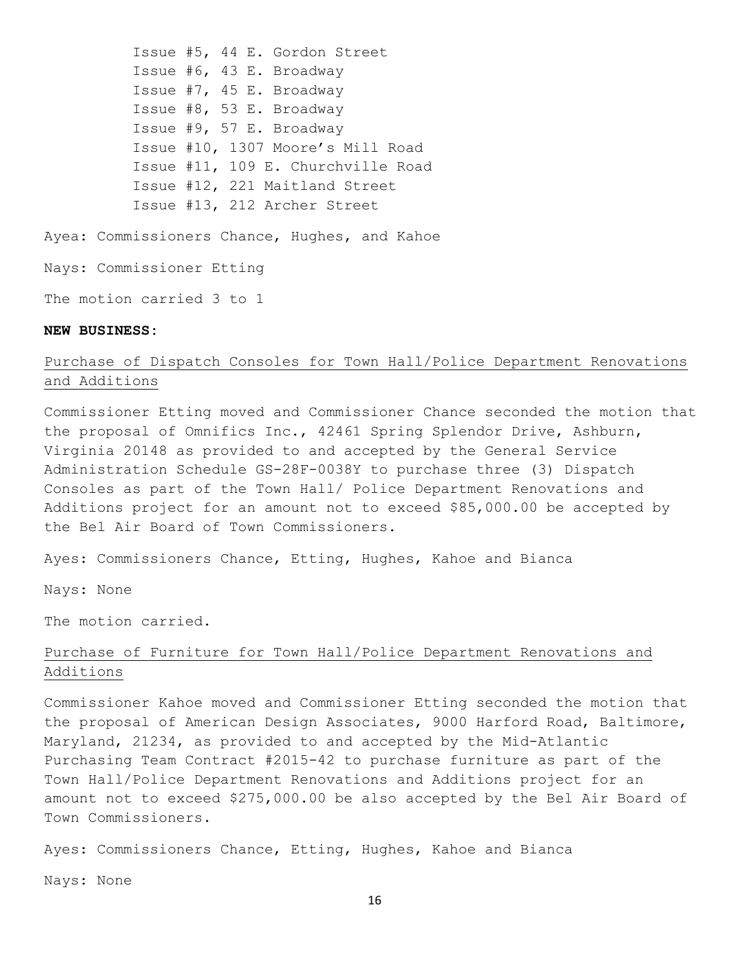Issue #5, 44 E. Gordon Street Issue #6, 43 E. Broadway Issue #7, 45 E. Broadway Issue #8, 53 E. Broadway Issue #9, 57 E. Broadway Issue #10, 1307 Moore's Mill Road Issue #11, 109 E. Churchville Road Issue #12, 221 Maitland Street Issue #13, 212 Archer Street

Ayea: Commissioners Chance, Hughes, and Kahoe

Nays: Commissioner Etting

The motion carried 3 to 1

## **NEW BUSINESS:**

# Purchase of Dispatch Consoles for Town Hall/Police Department Renovations and Additions

Commissioner Etting moved and Commissioner Chance seconded the motion that the proposal of Omnifics Inc., 42461 Spring Splendor Drive, Ashburn, Virginia 20148 as provided to and accepted by the General Service Administration Schedule GS-28F-0038Y to purchase three (3) Dispatch Consoles as part of the Town Hall/ Police Department Renovations and Additions project for an amount not to exceed \$85,000.00 be accepted by the Bel Air Board of Town Commissioners.

Ayes: Commissioners Chance, Etting, Hughes, Kahoe and Bianca

Nays: None

The motion carried.

# Purchase of Furniture for Town Hall/Police Department Renovations and Additions

Commissioner Kahoe moved and Commissioner Etting seconded the motion that the proposal of American Design Associates, 9000 Harford Road, Baltimore, Maryland, 21234, as provided to and accepted by the Mid-Atlantic Purchasing Team Contract #2015-42 to purchase furniture as part of the Town Hall/Police Department Renovations and Additions project for an amount not to exceed \$275,000.00 be also accepted by the Bel Air Board of Town Commissioners.

Ayes: Commissioners Chance, Etting, Hughes, Kahoe and Bianca

Nays: None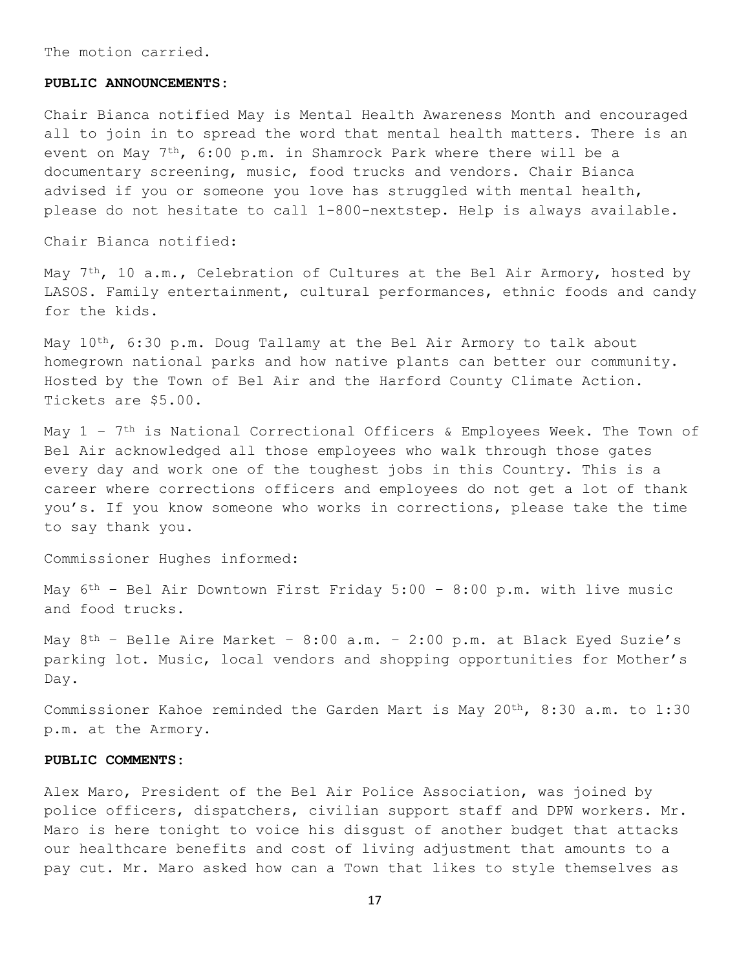The motion carried.

#### **PUBLIC ANNOUNCEMENTS:**

Chair Bianca notified May is Mental Health Awareness Month and encouraged all to join in to spread the word that mental health matters. There is an event on May 7th, 6:00 p.m. in Shamrock Park where there will be a documentary screening, music, food trucks and vendors. Chair Bianca advised if you or someone you love has struggled with mental health, please do not hesitate to call 1-800-nextstep. Help is always available.

Chair Bianca notified:

May  $7<sup>th</sup>$ , 10 a.m., Celebration of Cultures at the Bel Air Armory, hosted by LASOS. Family entertainment, cultural performances, ethnic foods and candy for the kids.

May 10<sup>th</sup>, 6:30 p.m. Doug Tallamy at the Bel Air Armory to talk about homegrown national parks and how native plants can better our community. Hosted by the Town of Bel Air and the Harford County Climate Action. Tickets are \$5.00.

May  $1$  – 7<sup>th</sup> is National Correctional Officers & Employees Week. The Town of Bel Air acknowledged all those employees who walk through those gates every day and work one of the toughest jobs in this Country. This is a career where corrections officers and employees do not get a lot of thank you's. If you know someone who works in corrections, please take the time to say thank you.

Commissioner Hughes informed:

May  $6^{th}$  - Bel Air Downtown First Friday 5:00 - 8:00 p.m. with live music and food trucks.

May  $8^{th}$  - Belle Aire Market -  $8:00$  a.m. -  $2:00$  p.m. at Black Eyed Suzie's parking lot. Music, local vendors and shopping opportunities for Mother's Day.

Commissioner Kahoe reminded the Garden Mart is May 20th, 8:30 a.m. to 1:30 p.m. at the Armory.

## **PUBLIC COMMENTS:**

Alex Maro, President of the Bel Air Police Association, was joined by police officers, dispatchers, civilian support staff and DPW workers. Mr. Maro is here tonight to voice his disgust of another budget that attacks our healthcare benefits and cost of living adjustment that amounts to a pay cut. Mr. Maro asked how can a Town that likes to style themselves as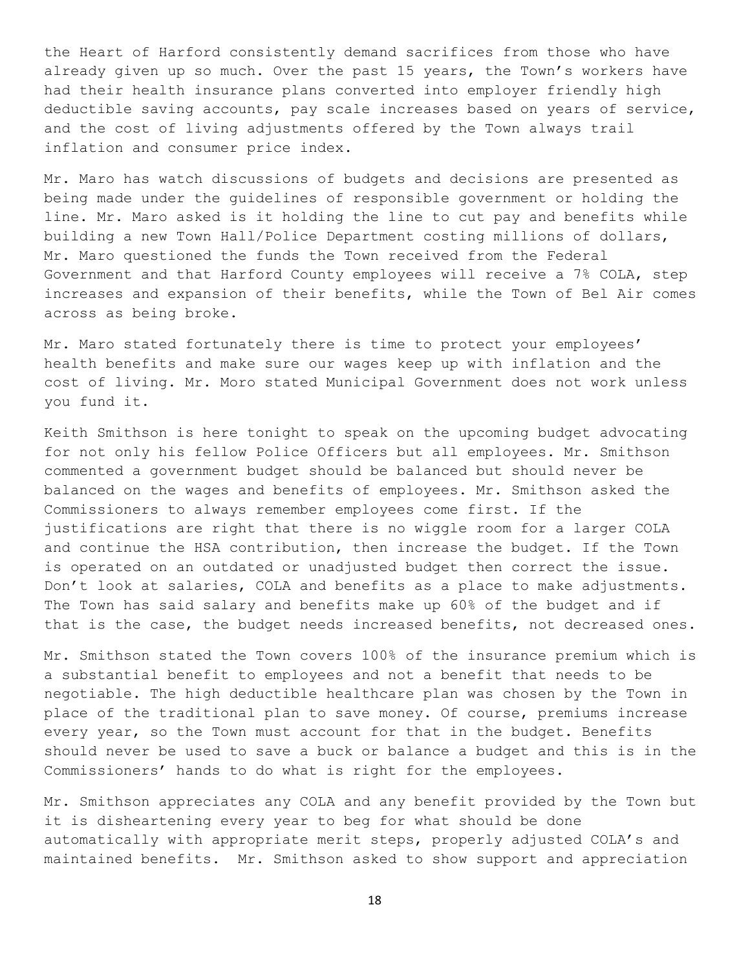the Heart of Harford consistently demand sacrifices from those who have already given up so much. Over the past 15 years, the Town's workers have had their health insurance plans converted into employer friendly high deductible saving accounts, pay scale increases based on years of service, and the cost of living adjustments offered by the Town always trail inflation and consumer price index.

Mr. Maro has watch discussions of budgets and decisions are presented as being made under the guidelines of responsible government or holding the line. Mr. Maro asked is it holding the line to cut pay and benefits while building a new Town Hall/Police Department costing millions of dollars, Mr. Maro questioned the funds the Town received from the Federal Government and that Harford County employees will receive a 7% COLA, step increases and expansion of their benefits, while the Town of Bel Air comes across as being broke.

Mr. Maro stated fortunately there is time to protect your employees' health benefits and make sure our wages keep up with inflation and the cost of living. Mr. Moro stated Municipal Government does not work unless you fund it.

Keith Smithson is here tonight to speak on the upcoming budget advocating for not only his fellow Police Officers but all employees. Mr. Smithson commented a government budget should be balanced but should never be balanced on the wages and benefits of employees. Mr. Smithson asked the Commissioners to always remember employees come first. If the justifications are right that there is no wiggle room for a larger COLA and continue the HSA contribution, then increase the budget. If the Town is operated on an outdated or unadjusted budget then correct the issue. Don't look at salaries, COLA and benefits as a place to make adjustments. The Town has said salary and benefits make up 60% of the budget and if that is the case, the budget needs increased benefits, not decreased ones.

Mr. Smithson stated the Town covers 100% of the insurance premium which is a substantial benefit to employees and not a benefit that needs to be negotiable. The high deductible healthcare plan was chosen by the Town in place of the traditional plan to save money. Of course, premiums increase every year, so the Town must account for that in the budget. Benefits should never be used to save a buck or balance a budget and this is in the Commissioners' hands to do what is right for the employees.

Mr. Smithson appreciates any COLA and any benefit provided by the Town but it is disheartening every year to beg for what should be done automatically with appropriate merit steps, properly adjusted COLA's and maintained benefits. Mr. Smithson asked to show support and appreciation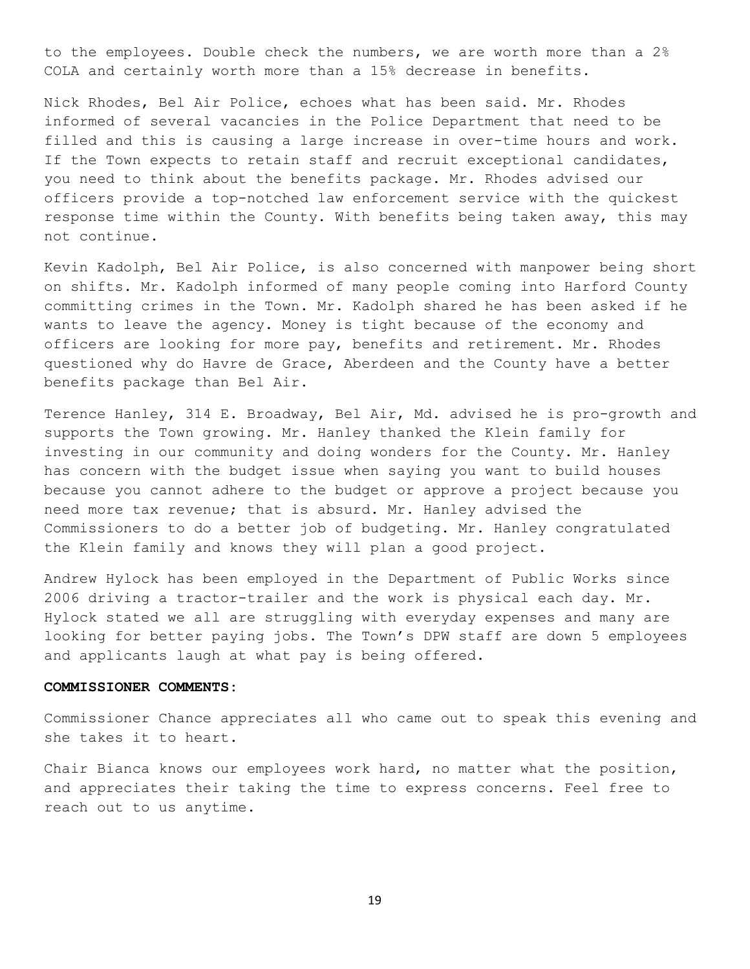to the employees. Double check the numbers, we are worth more than a 2% COLA and certainly worth more than a 15% decrease in benefits.

Nick Rhodes, Bel Air Police, echoes what has been said. Mr. Rhodes informed of several vacancies in the Police Department that need to be filled and this is causing a large increase in over-time hours and work. If the Town expects to retain staff and recruit exceptional candidates, you need to think about the benefits package. Mr. Rhodes advised our officers provide a top-notched law enforcement service with the quickest response time within the County. With benefits being taken away, this may not continue.

Kevin Kadolph, Bel Air Police, is also concerned with manpower being short on shifts. Mr. Kadolph informed of many people coming into Harford County committing crimes in the Town. Mr. Kadolph shared he has been asked if he wants to leave the agency. Money is tight because of the economy and officers are looking for more pay, benefits and retirement. Mr. Rhodes questioned why do Havre de Grace, Aberdeen and the County have a better benefits package than Bel Air.

Terence Hanley, 314 E. Broadway, Bel Air, Md. advised he is pro-growth and supports the Town growing. Mr. Hanley thanked the Klein family for investing in our community and doing wonders for the County. Mr. Hanley has concern with the budget issue when saying you want to build houses because you cannot adhere to the budget or approve a project because you need more tax revenue; that is absurd. Mr. Hanley advised the Commissioners to do a better job of budgeting. Mr. Hanley congratulated the Klein family and knows they will plan a good project.

Andrew Hylock has been employed in the Department of Public Works since 2006 driving a tractor-trailer and the work is physical each day. Mr. Hylock stated we all are struggling with everyday expenses and many are looking for better paying jobs. The Town's DPW staff are down 5 employees and applicants laugh at what pay is being offered.

## **COMMISSIONER COMMENTS:**

Commissioner Chance appreciates all who came out to speak this evening and she takes it to heart.

Chair Bianca knows our employees work hard, no matter what the position, and appreciates their taking the time to express concerns. Feel free to reach out to us anytime.